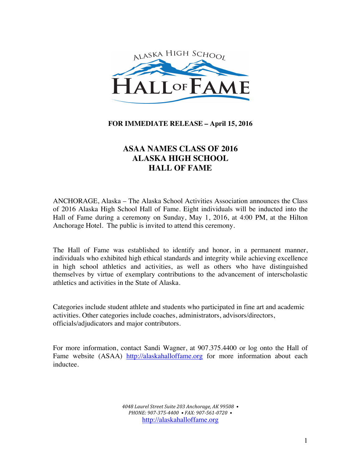

# **FOR IMMEDIATE RELEASE – April 15, 2016**

# **ASAA NAMES CLASS OF 2016 ALASKA HIGH SCHOOL HALL OF FAME**

ANCHORAGE, Alaska – The Alaska School Activities Association announces the Class of 2016 Alaska High School Hall of Fame. Eight individuals will be inducted into the Hall of Fame during a ceremony on Sunday, May 1, 2016, at 4:00 PM, at the Hilton Anchorage Hotel. The public is invited to attend this ceremony.

The Hall of Fame was established to identify and honor, in a permanent manner, individuals who exhibited high ethical standards and integrity while achieving excellence in high school athletics and activities, as well as others who have distinguished themselves by virtue of exemplary contributions to the advancement of interscholastic athletics and activities in the State of Alaska.

Categories include student athlete and students who participated in fine art and academic activities. Other categories include coaches, administrators, advisors/directors, officials/adjudicators and major contributors.

For more information, contact Sandi Wagner, at 907.375.4400 or log onto the Hall of Fame website (ASAA) http://alaskahalloffame.org for more information about each inductee.

> *4048 Laurel Street Suite 203 Anchorage, AK 99508 • PHONE: 907-375-4400 • FAX: 907-561-0720 •* http://alaskahalloffame.org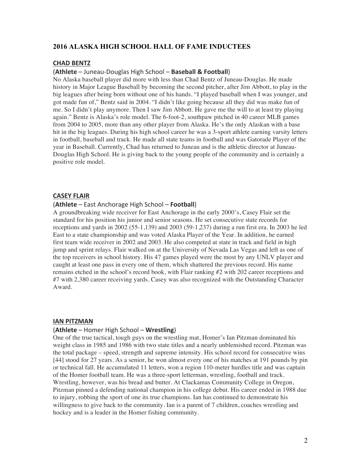# **2016 ALASKA HIGH SCHOOL HALL OF FAME INDUCTEES**

# **CHAD BENTZ**

## (**Athlete** – Juneau-Douglas High School – **Baseball & Football**)

No Alaska baseball player did more with less than Chad Bentz of Juneau-Douglas. He made history in Major League Baseball by becoming the second pitcher, after Jim Abbott, to play in the big leagues after being born without one of his hands. "I played baseball when I was younger, and got made fun of," Bentz said in 2004. "I didn't like going because all they did was make fun of me. So I didn't play anymore. Then I saw Jim Abbott. He gave me the will to at least try playing again." Bentz is Alaska's role model. The 6-foot-2, southpaw pitched in 40 career MLB games from 2004 to 2005, more than any other player from Alaska. He's the only Alaskan with a base hit in the big leagues. During his high school career he was a 3-sport athlete earning varsity letters in football, baseball and track. He made all state teams in football and was Gatorade Player of the year in Baseball. Currently, Chad has returned to Juneau and is the athletic director at Juneau-Douglas High School. He is giving back to the young people of the community and is certainly a positive role model.

### **CASEY FLAIR**

### (**Athlete** – East Anchorage High School – **Football**)

A groundbreaking wide receiver for East Anchorage in the early 2000's, Casey Flair set the standard for his position his junior and senior seasons. He set consecutive state records for receptions and yards in 2002 (55-1,139) and 2003 (59-1,237) during a run first era. In 2003 he led East to a state championship and was voted Alaska Player of the Year. In addition, he earned first team wide receiver in 2002 and 2003. He also competed at state in track and field in high jump and sprint relays. Flair walked on at the University of Nevada Las Vegas and left as one of the top receivers in school history. His 47 games played were the most by any UNLV player and caught at least one pass in every one of them, which shattered the previous record. His name remains etched in the school's record book, with Flair ranking #2 with 202 career receptions and #7 with 2,380 career receiving yards. Casey was also recognized with the Outstanding Character Award.

#### **IAN PITZMAN**

### (**Athlete** – Homer High School – **Wrestling**)

One of the true tactical, tough guys on the wrestling mat, Homer's Ian Pitzman dominated his weight class in 1985 and 1986 with two state titles and a nearly unblemished record. Pitzman was the total package – speed, strength and supreme intensity. His school record for consecutive wins [44] stood for 27 years. As a senior, he won almost every one of his matches at 191 pounds by pin or technical fall. He accumulated 11 letters, won a region 110-meter hurdles title and was captain of the Homer football team. He was a three-sport letterman, wrestling, football and track. Wrestling, however, was his bread and butter. At Clackamas Community College in Oregon, Pitzman pinned a defending national champion in his college debut. His career ended in 1988 due to injury, robbing the sport of one its true champions. Ian has continued to demonstrate his willingness to give back to the community. Ian is a parent of 7 children, coaches wrestling and hockey and is a leader in the Homer fishing community.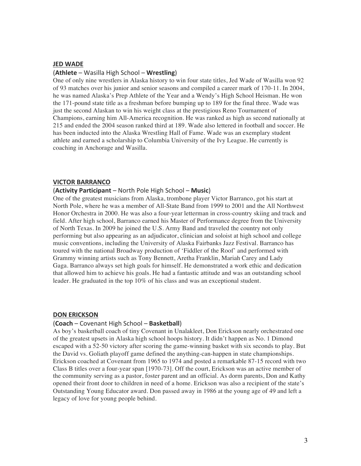#### **JED WADE**

#### (**Athlete** – Wasilla High School – **Wrestling**)

One of only nine wrestlers in Alaska history to win four state titles, Jed Wade of Wasilla won 92 of 93 matches over his junior and senior seasons and compiled a career mark of 170-11. In 2004, he was named Alaska's Prep Athlete of the Year and a Wendy's High School Heisman. He won the 171-pound state title as a freshman before bumping up to 189 for the final three. Wade was just the second Alaskan to win his weight class at the prestigious Reno Tournament of Champions, earning him All-America recognition. He was ranked as high as second nationally at 215 and ended the 2004 season ranked third at 189. Wade also lettered in football and soccer. He has been inducted into the Alaska Wrestling Hall of Fame. Wade was an exemplary student athlete and earned a scholarship to Columbia University of the Ivy League. He currently is coaching in Anchorage and Wasilla.

#### **VICTOR BARRANCO**

# **(Activity Participant** – North Pole High School – Music)

One of the greatest musicians from Alaska, trombone player Victor Barranco, got his start at North Pole, where he was a member of All-State Band from 1999 to 2001 and the All Northwest Honor Orchestra in 2000. He was also a four-year letterman in cross-country skiing and track and field. After high school, Barranco earned his Master of Performance degree from the University of North Texas. In 2009 he joined the U.S. Army Band and traveled the country not only performing but also appearing as an adjudicator, clinician and soloist at high school and college music conventions, including the University of Alaska Fairbanks Jazz Festival. Barranco has toured with the national Broadway production of 'Fiddler of the Roof' and performed with Grammy winning artists such as Tony Bennett, Aretha Franklin, Mariah Carey and Lady Gaga. Barranco always set high goals for himself. He demonstrated a work ethic and dedication that allowed him to achieve his goals. He had a fantastic attitude and was an outstanding school leader. He graduated in the top 10% of his class and was an exceptional student.

#### **DON ERICKSON**

#### (**Coach** – Covenant High School – **Basketball**)

As boy's basketball coach of tiny Covenant in Unalakleet, Don Erickson nearly orchestrated one of the greatest upsets in Alaska high school hoops history. It didn't happen as No. 1 Dimond escaped with a 52-50 victory after scoring the game-winning basket with six seconds to play. But the David vs. Goliath playoff game defined the anything-can-happen in state championships. Erickson coached at Covenant from 1965 to 1974 and posted a remarkable 87-15 record with two Class B titles over a four-year span [1970-73]. Off the court, Erickson was an active member of the community serving as a pastor, foster parent and an official. As dorm parents, Don and Kathy opened their front door to children in need of a home. Erickson was also a recipient of the state's Outstanding Young Educator award. Don passed away in 1986 at the young age of 49 and left a legacy of love for young people behind.